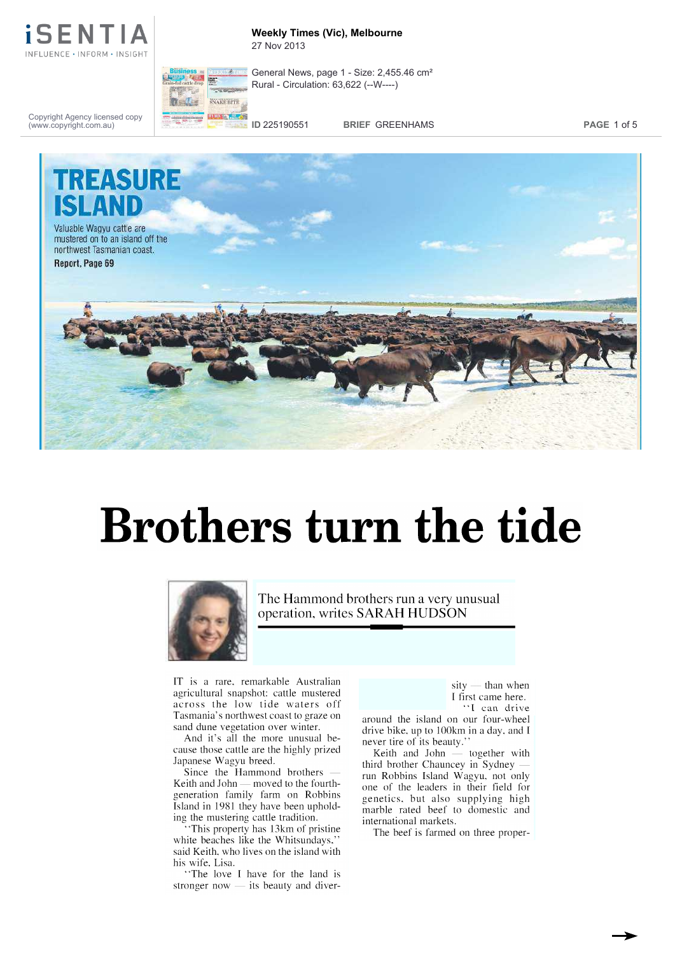

### **Weekly Times (Vic), Melbourne** 27 Nov 2013



General News, page 1 - Size: 2,455.46 cm² Rural - Circulation: 63,622 (--W----)

Copyright Agency licensed copy (www.copyright.com.au)

**ID** 225190551 **BRIEF** GREENHAMS **PAGE** 1 of 5



# Brothers turn the tide



The Hammond brothers run a very unusual operation, writes SARAH HUDSON

IT is a rare, remarkable Australian<br>agricultural snapshot: cattle mustered across the low tide waters off Tasmania' s northwest coast to graze on sand dune vegetation over winter.

And it's all the more unusual because those cattle are the highly prized Japanese Wagyu breed.

Since the Hammond brothers Keith and John — moved to the fourthgeneration family farm on Robbins genetics, but also supplying high Island in 1981 they have been upholding the mustering cattle tradition.

"This property has 13km of pristine white beaches like the Whitsundays,' said Keith, who lives on the island with his wife, Lisa.

"The love I have for the land is stronger now  $-$  its beauty and diver-

 $sity$  — than when I first came here. "I can drive

around the island on our four -wheel drive bike, up to 100km in a day, and I never tire of its beauty."

Keith and John  $-$  together with third brother Chauncey in Sydney run Robbins Island Wagyu, not only one of the leaders in their field for marble rated beef to domestic and international markets.

The beef is farmed on three proper-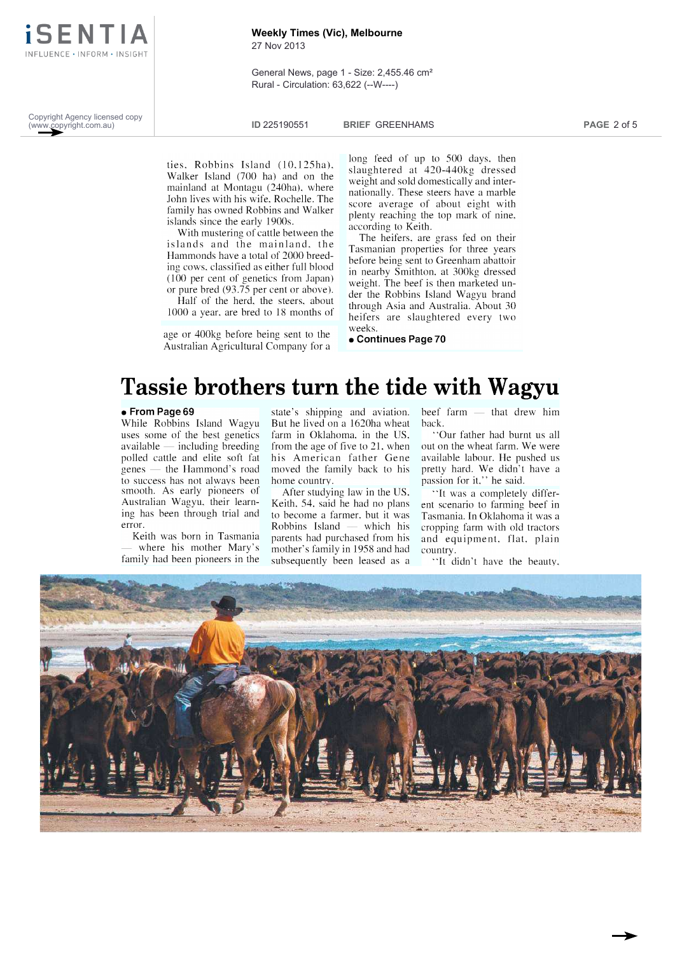

## **Weekly Times (Vic), Melbourne**

27 Nov 2013

General News, page 1 - Size: 2,455.46 cm² Rural - Circulation: 63,622 (--W----)

Copyright Agency licensed copy (www.copyright.com.au)

**ID** 225190551 **BRIEF** GREENHAMS **PAGE** 2 of 5

ties, Robbins Island (10,125ha), Walker Island (700 ha) and on the mainland at Montagu (240ha), where John lives with his wife, Rochelle. The family has owned Robbins and Walker islands since the early 1900s.

With mustering of cattle between the islands and the mainland, the Hammonds have a total of 2000 breeding cows, classified as either full blood (100 per cent of genetics from Japan) or pure bred (93.75 per cent or above).

Half of the herd, the steers, about 1000 a year, are bred to 18 months of

age or 400kg before being sent to the Australian Agricultural Company for a long feed of up to 500 days, then slaughtered at 420 -440kg dressed weight and sold domestically and internationally. These steers have a marble score average of about eight with plenty reaching the top mark of nine, according to Keith.

The heifers, are grass fed on their Tasmanian properties for three years before being sent to Greenham abattoir in nearby Smithton, at 300kg dressed weight. The beef is then marketed under the Robbins Island Wagyu brand through Asia and Australia. About 30 heifers are slaughtered every two weeks.

Continues Page 70

## Tassie brothers turn the tide with Wagyu

## From Page 69

While Robbins Island Wagyu uses some of the best genetics available  $-$  including breeding polled cattle and elite soft fat genes - the Hammond's road to success has not always been smooth. As early pioneers of Australian Wagyu, their learning has been through trial and error.

Keith was born in Tasmania where his mother Mary's family had been pioneers in the

state's shipping and aviation. beef farm -But he lived on a 1620ha wheat farm in Oklahoma, in the US, from the age of five to 21, when his American father Gene moved the family back to his home country.

After studying law in the US, Keith, 54, said he had no plans to become a farmer, but it was parents had purchased from his mother's family in 1958 and had subsequently been leased as a

that drew him back.

"Our father had burnt us all out on the wheat farm. We were available labour. He pushed us pretty hard. We didn't have a passion for it," he said.

Robbins Island  $\equiv$  which his cropping farm with old tractors "It was a completely different scenario to farming beef in Tasmania. In Oklahoma it was a and equipment, flat, plain country.

"It didn't have the beauty,

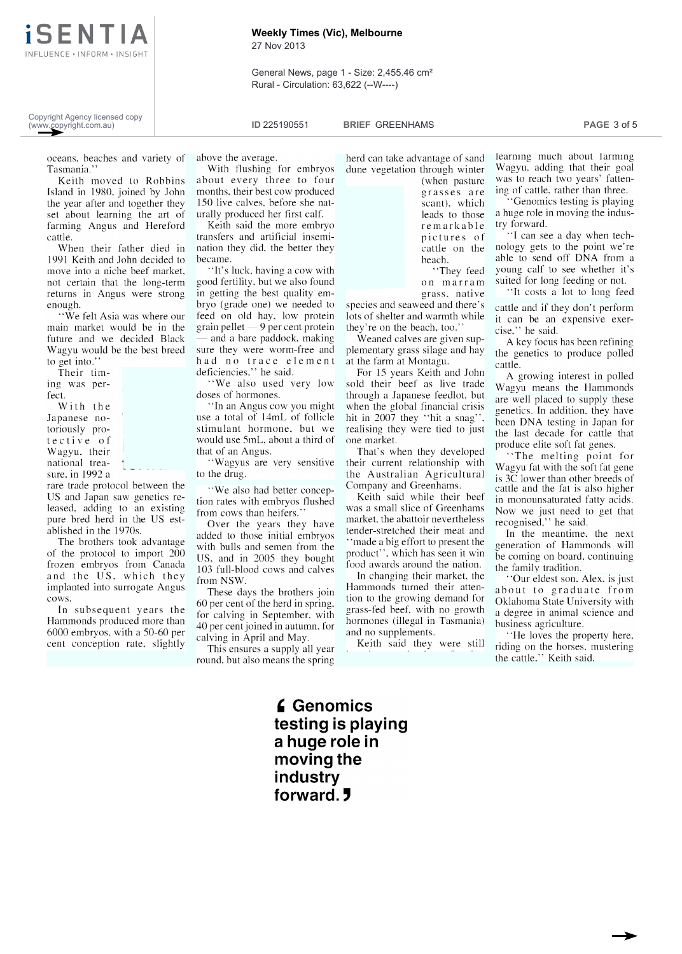iSENTI INFLUENCE · INFORM · INSIGHT

## **Weekly Times (Vic), Melbourne**

27 Nov 2013

General News, page 1 - Size: 2,455.46 cm² Rural - Circulation: 63,622 (--W----)

Copyright Agency licensed copy (www.copyright.com.au)

**ID** 225190551 **BRIEF** GREENHAMS **PAGE** 3 of 5

oceans, beaches and variety of above the average.<br>Tasmania." With flushing for embryos Tasmania."

Keith moved to Robbins Island in 1980, joined by John the year after and together they set about learning the art of farming Angus and Hereford cattle.

When their father died in 1991 Keith and John decided to move into a niche beef market, not certain that the long -term returns in Angus were strong enough.

"We felt Asia was where our main market would be in the future and we decided Black Wagyu would be the best breed to get into.'

Their timing was perfect.

With the Japanese notective of Wagyu, their national treasure, in 1992 a

rare trade protocol between the US and Japan saw genetics released, adding to an existing pure bred herd in the US established in the 1970s.

The brothers took advantage of the protocol to import 200 frozen embryos from Canada and the US, which they implanted into surrogate Angus cows. In subsequent years the

Hammonds produced more than 6000 embryos, with a 50 -60 per cent conception rate, slightly

above the average.

about every three to four months, their best cow produced 150 live calves, before she naturally produced her first calf.

Keith said the more embryo transfers and artificial insemination they did, the better they became.

"It's luck, having a cow with good fertility, but we also found in getting the best quality embryo (grade one) we needed to feed on old hay, low protein  $grain$  pellet  $-9$  per cent protein and a bare paddock, making sure they were worm -free and had no trace element deficiencies," he said.

"We also used very low doses of hormones.

"In an Angus cow you might use a total of 14mL of follicle stimulant hormone, but we would use 5mL, about a third of that of an Angus.

"Wagyus are very sensitive to the drug.

"We also had better conception rates with embryos flushed from cows than heifers."

Over the years they have added to those initial embryos with bulls and semen from the US, and in 2005 they bought 103 full-blood cows and calves from NSW.

These days the brothers join 60 per cent of the herd in spring, for calving in September, with 40 per cent joined in autumn, for calving in April and May.

This ensures a supply all year round, but also means the spring herd can take advantage of sand dune vegetation through winter (when pasture grasses are scant), which leads to those remarkable pictures of cattle on the beach. "They feed

grass, native species and seaweed and there's lots of shelter and warmth while they're on the beach, too.'

Weaned calves are given supplementary grass silage and hay at the farm at Montagu.

For 15 years Keith and John sold their beef as live trade through a Japanese feedlot, but when the global financial crisis hit in 2007 they "hit a snag", realising they were tied to just one market.

their current relationship with the Australian Agricultural Company and Greenhams.

Keith said while their beef was a small slice of Greenhams market, the abattoir nevertheless tender -stretched their meat and "made a big effort to present the product", which has seen it win food awards around the nation.

In changing their market, the Current Course et al., Alex, is just Hammonds turned their attention to the growing demand for grass -fed beef, with no growth hormones (illegal in Tasmania) and no supplements.

Keith said they were still

learning much about tarming Wagyu, adding that their goal was to reach two years' fattening of cattle, rather than three.

"Genomics testing is playing a huge role in moving the industry forward.

on marram suited for long feeding or not. "I can see a day when technology gets to the point we're able to send off DNA from a young calf to see whether it's

"It costs a lot to long feed cattle and if they don't perform it can be an expensive exercise," he said.

A key focus has been refining the genetics to produce polled cattle.

 $\frac{1}{2}$  and they developed produce elite soft fat genes. A growing interest in polled Wagyu means the Hammonds are well placed to supply these genetics. In addition, they have been DNA testing in Japan for the last decade for cattle that

"The melting point for Wagyu fat with the soft fat gene is 3C lower than other breeds of cattle and the fat is also higher in monounsaturated fatty acids. Now we just need to get that recognised," he said.

In the meantime, the next generation of Hammonds will be coming on board, continuing the family tradition.

about to graduate from Oklahoma State University with a degree in animal science and business agriculture.

"He loves the property here, riding on the horses, mustering the cattle." Keith said.

**6** Genomics testing is playing a huge role in moving the industry forward. 5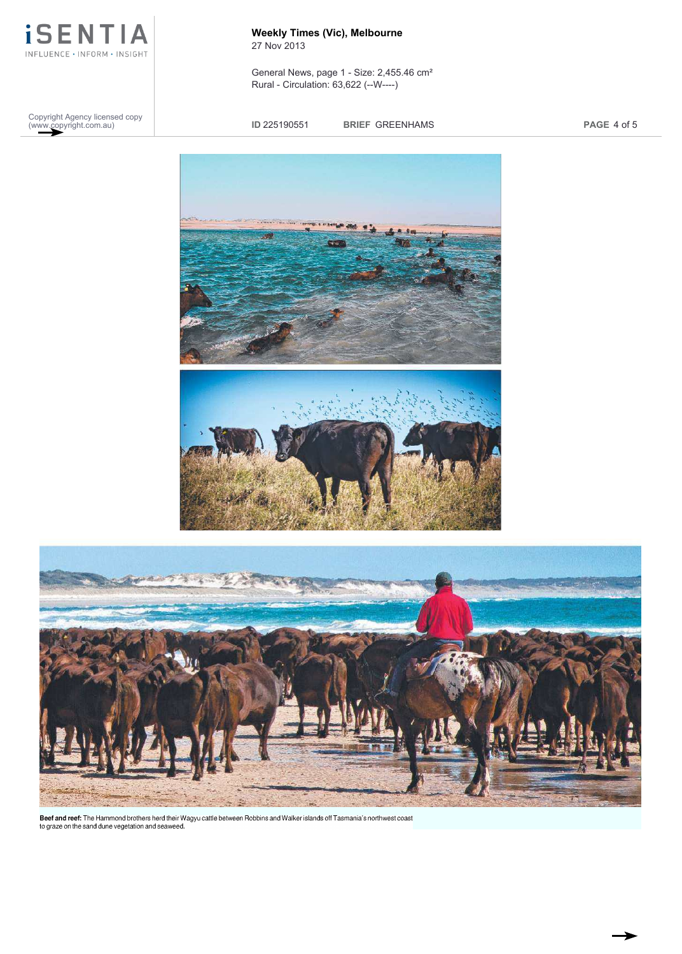

Copyright Agency licensed copy (www.copyright.com.au)

**Weekly Times (Vic), Melbourne** 27 Nov 2013

General News, page 1 - Size: 2,455.46 cm² Rural - Circulation: 63,622 (--W----)

**ID** 225190551 **BRIEF** GREENHAMS **PAGE** 4 of 5





**Beef and reef:** The Hammond brothers herd their Wagyu cattle between Robbins and Walker islands off Tasmania's northwest coast<br>to graze on the sand dune vegetation and seaweed.